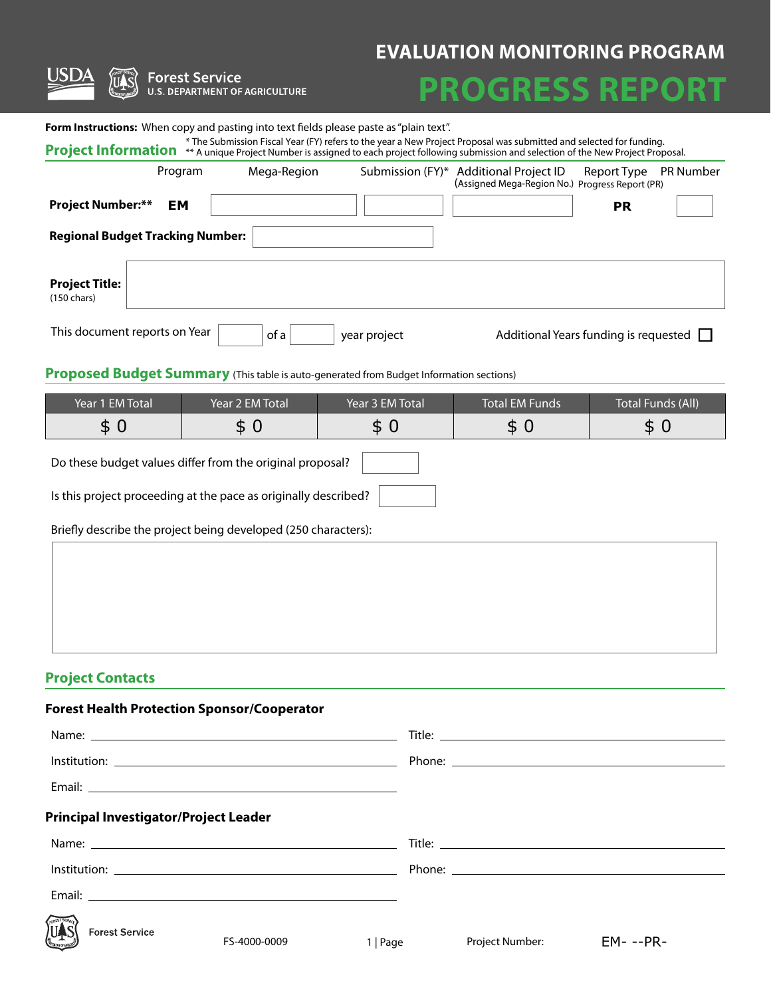| <b>EM</b> |     |     |     | <b>PR</b> |        |
|-----------|-----|-----|-----|-----------|--------|
|           |     |     |     |           |        |
|           |     |     |     |           |        |
|           |     |     |     |           |        |
|           |     |     |     |           | $\Box$ |
|           |     |     |     |           |        |
|           |     |     |     |           |        |
| \$0       | \$0 | \$0 | \$0 | \$0       |        |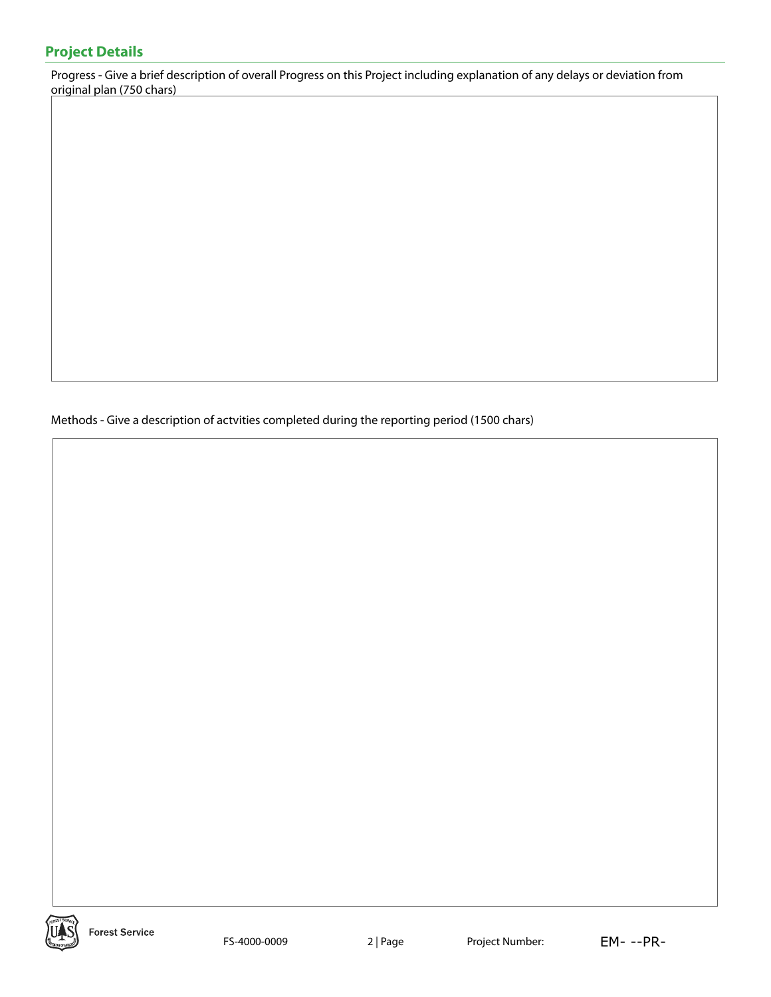## **Project Details**

Progress - Give a brief description of overall Progress on this Project including explanation of any delays or deviation from original plan (750 chars)

Methods - Give a description of actvities completed during the reporting period (1500 chars)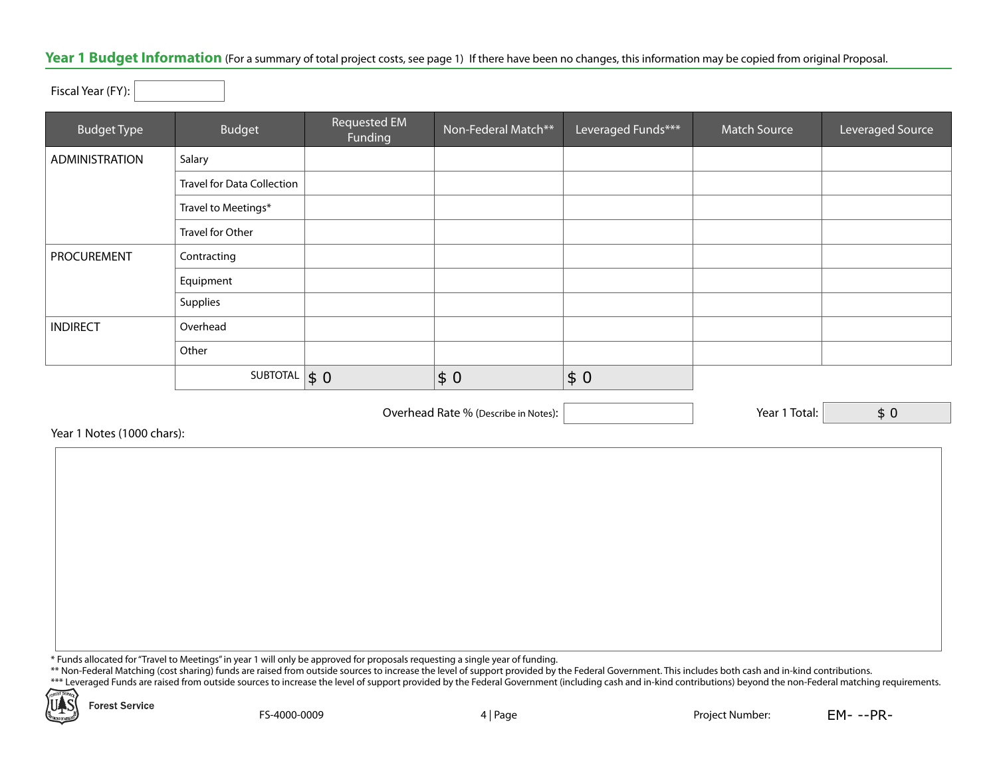## Year 1 Budget Information (For a summary of total project costs, see page 1) If there have been no changes, this information may be copied from original Proposal.

Fiscal Year (FY):

| <b>Budget Type</b> | Budget                            | <b>Requested EM</b><br>Funding | Non-Federal Match** | Leveraged Funds*** | <b>Match Source</b> | Leveraged Source |
|--------------------|-----------------------------------|--------------------------------|---------------------|--------------------|---------------------|------------------|
| ADMINISTRATION     | Salary                            |                                |                     |                    |                     |                  |
|                    | <b>Travel for Data Collection</b> |                                |                     |                    |                     |                  |
|                    | Travel to Meetings*               |                                |                     |                    |                     |                  |
|                    | Travel for Other                  |                                |                     |                    |                     |                  |
| PROCUREMENT        | Contracting                       |                                |                     |                    |                     |                  |
|                    | Equipment                         |                                |                     |                    |                     |                  |
|                    | Supplies                          |                                |                     |                    |                     |                  |
| <b>INDIRECT</b>    | Overhead                          |                                |                     |                    |                     |                  |
|                    | Other                             |                                |                     |                    |                     |                  |
|                    | SUBTOTAL $\vert \$ 0 \vert$       |                                | \$0                 | \$0                |                     |                  |

Overhead Rate % (Describe in Notes):  $\vert$  (Secretary 2014) 7 Year 1 Total:

\$ 0

Year 1 Notes (1000 chars):

\* Funds allocated for "Travel to Meetings" in year 1 will only be approved for proposals requesting a single year of funding.

\*\* Non-Federal Matching (cost sharing) funds are raised from outside sources to increase the level of support provided by the Federal Government. This includes both cash and in-kind contributions.

\*\*\* Leveraged Funds are raised from outside sources to increase the level of support provided by the Federal Government (including cash and in-kind contributions) beyond the non-Federal matching requirements.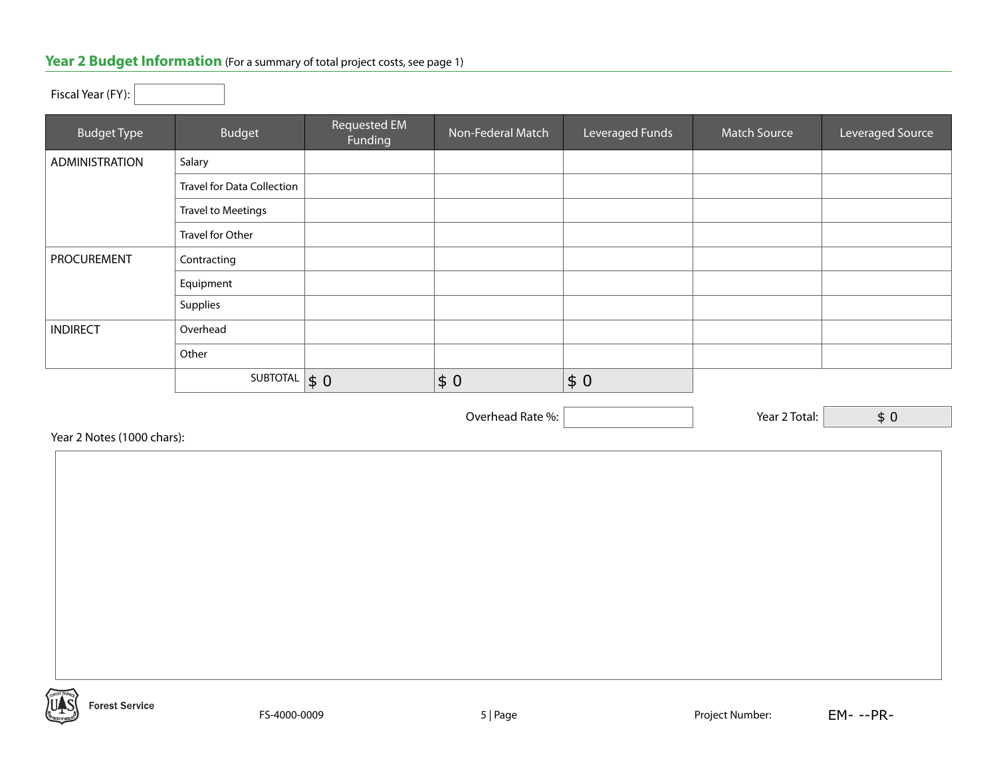## Year 2 Budget Information (For a summary of total project costs, see page 1)

## Fiscal Year (FY):

| <b>Budget Type</b> | Budget                            | Requested EM<br>Funding   | Non-Federal Match | Leveraged Funds | <b>Match Source</b> | Leveraged Source |
|--------------------|-----------------------------------|---------------------------|-------------------|-----------------|---------------------|------------------|
| ADMINISTRATION     | Salary                            |                           |                   |                 |                     |                  |
|                    | <b>Travel for Data Collection</b> |                           |                   |                 |                     |                  |
|                    | <b>Travel to Meetings</b>         |                           |                   |                 |                     |                  |
|                    | Travel for Other                  |                           |                   |                 |                     |                  |
| <b>PROCUREMENT</b> | Contracting                       |                           |                   |                 |                     |                  |
|                    | Equipment                         |                           |                   |                 |                     |                  |
|                    | Supplies                          |                           |                   |                 |                     |                  |
| <b>INDIRECT</b>    | Overhead                          |                           |                   |                 |                     |                  |
|                    | Other                             |                           |                   |                 |                     |                  |
|                    | SUBTOTAL                          | $\vert \mathsf{s}\vert 0$ | \$0               | \$0             |                     |                  |

Overhead Rate %:  $\boxed{\phantom{\begin{bmatrix} 0 \end{bmatrix}}$  Year 2 Total:

Year 2 Notes (1000 chars):

| 'ear 2 Notes (1000 chars): |  |  |
|----------------------------|--|--|
|                            |  |  |
|                            |  |  |
|                            |  |  |
|                            |  |  |
|                            |  |  |
|                            |  |  |
|                            |  |  |
|                            |  |  |
|                            |  |  |
|                            |  |  |
|                            |  |  |
|                            |  |  |
|                            |  |  |
|                            |  |  |

\$ 0